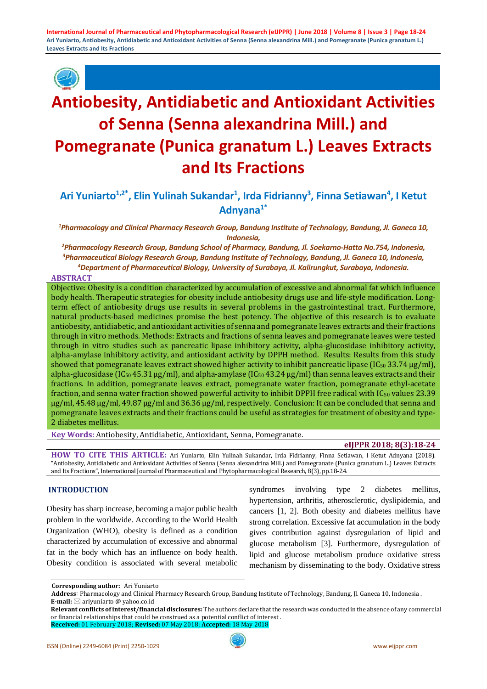

# **Antiobesity, Antidiabetic and Antioxidant Activities of Senna (Senna alexandrina Mill.) and Pomegranate (Punica granatum L.) Leaves Extracts and Its Fractions**

Ari Yuniarto<sup>1,2\*</sup>, Elin Yulinah Sukandar<sup>1</sup>, Irda Fidrianny<sup>3</sup>, Finna Setiawan<sup>4</sup>, I Ketut **Adnyana1\***

*1 Pharmacology and Clinical Pharmacy Research Group, Bandung Institute of Technology, Bandung, Jl. Ganeca 10, Indonesia,*

*2 Pharmacology Research Group, Bandung School of Pharmacy, Bandung, Jl. Soekarno-Hatta No.754, Indonesia, 3 Pharmaceutical Biology Research Group, Bandung Institute of Technology, Bandung, Jl. Ganeca 10, Indonesia, 4 Department of Pharmaceutical Biology, University of Surabaya, Jl. Kalirungkut, Surabaya, Indonesia.*

#### **ABSTRACT**

Objective: Obesity is a condition characterized by accumulation of excessive and abnormal fat which influence body health. Therapeutic strategies for obesity include antiobesity drugs use and life-style modification. Longterm effect of antiobesity drugs use results in several problems in the gastrointestinal tract. Furthermore, natural products-based medicines promise the best potency. The objective of this research is to evaluate antiobesity, antidiabetic, and antioxidant activities of senna and pomegranate leaves extracts and their fractions through in vitro methods. Methods: Extracts and fractions of senna leaves and pomegranate leaves were tested through in vitro studies such as pancreatic lipase inhibitory activity, alpha-glucosidase inhibitory activity, alpha-amylase inhibitory activity, and antioxidant activity by DPPH method. Results: Results from this study showed that pomegranate leaves extract showed higher activity to inhibit pancreatic lipase ( $IC_{50}$  33.74  $\mu$ g/ml), alpha-glucosidase (IC<sub>50</sub> 45.31  $\mu$ g/ml), and alpha-amylase (IC<sub>50</sub> 43.24  $\mu$ g/ml) than senna leaves extracts and their fractions. In addition, pomegranate leaves extract, pomegranate water fraction, pomegranate ethyl-acetate fraction, and senna water fraction showed powerful activity to inhibit DPPH free radical with IC<sub>50</sub> values 23.39 μg/ml, 45.48 μg/ml, 49.87 μg/ml and 36.36 μg/ml, respectively. Conclusion: It can be concluded that senna and pomegranate leaves extracts and their fractions could be useful as strategies for treatment of obesity and type-2 diabetes mellitus.

**Key Words:** Antiobesity, Antidiabetic, Antioxidant, Senna, Pomegranate.

#### **eIJPPR 2018; 8(3):18-24**

**HOW TO CITE THIS ARTICLE:** Ari Yuniarto, Elin Yulinah Sukandar, Irda Fidrianny, Finna Setiawan, I Ketut Adnyana (2018). "Antiobesity, Antidiabetic and Antioxidant Activities of Senna (Senna alexandrina Mill.) and Pomegranate (Punica granatum L.) Leaves Extracts and Its Fractions", International Journal of Pharmaceutical and Phytopharmacological Research, 8(3), pp.18-24.

#### **INTRODUCTION**

Obesity has sharp increase, becoming a major public health problem in the worldwide. According to the World Health Organization (WHO), obesity is defined as a condition characterized by accumulation of excessive and abnormal fat in the body which has an influence on body health. Obesity condition is associated with several metabolic syndromes involving type 2 diabetes mellitus, hypertension, arthritis, atherosclerotic, dyslipidemia, and cancers [1, 2]. Both obesity and diabetes mellitus have strong correlation. Excessive fat accumulation in the body gives contribution against dysregulation of lipid and glucose metabolism [3]. Furthermore, dysregulation of lipid and glucose metabolism produce oxidative stress mechanism by disseminating to the body. Oxidative stress

**Corresponding author:** Ari Yuniarto

 **Address**: Pharmacology and Clinical Pharmacy Research Group, Bandung Institute of Technology, Bandung, Jl. Ganeca 10, Indonesia . **E-mail:** ⊠ ariyuniarto @ yahoo.co.id

**Relevant conflicts of interest/financial disclosures:** The authors declare that the research was conducted in the absence of any commercial or financial relationships that could be construed as a potential conflict of interest .

**Received:** 01 February 2018; **Revised:** 07 May 2018; **Accepted:** 18 May 2018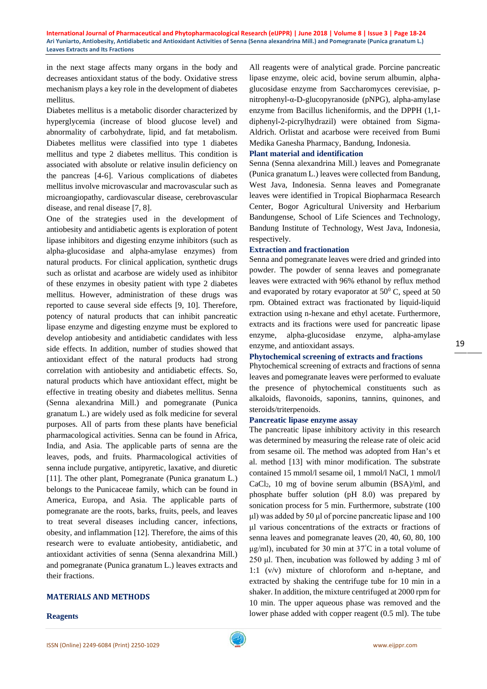in the next stage affects many organs in the body and decreases antioxidant status of the body. Oxidative stress mechanism plays a key role in the development of diabetes mellitus.

Diabetes mellitus is a metabolic disorder characterized by hyperglycemia (increase of blood glucose level) and abnormality of carbohydrate, lipid, and fat metabolism. Diabetes mellitus were classified into type 1 diabetes mellitus and type 2 diabetes mellitus. This condition is associated with absolute or relative insulin deficiency on the pancreas [4-6]. Various complications of diabetes mellitus involve microvascular and macrovascular such as microangiopathy, cardiovascular disease, cerebrovascular disease, and renal disease [7, 8].

One of the strategies used in the development of antiobesity and antidiabetic agents is exploration of potent lipase inhibitors and digesting enzyme inhibitors (such as alpha-glucosidase and alpha-amylase enzymes) from natural products. For clinical application, synthetic drugs such as orlistat and acarbose are widely used as inhibitor of these enzymes in obesity patient with type 2 diabetes mellitus. However, administration of these drugs was reported to cause several side effects [9, 10]. Therefore, potency of natural products that can inhibit pancreatic lipase enzyme and digesting enzyme must be explored to develop antiobesity and antidiabetic candidates with less side effects. In addition, number of studies showed that antioxidant effect of the natural products had strong correlation with antiobesity and antidiabetic effects. So, natural products which have antioxidant effect, might be effective in treating obesity and diabetes mellitus. Senna (Senna alexandrina Mill.) and pomegranate (Punica granatum L.) are widely used as folk medicine for several purposes. All of parts from these plants have beneficial pharmacological activities. Senna can be found in Africa, India, and Asia. The applicable parts of senna are the leaves, pods, and fruits. Pharmacological activities of senna include purgative, antipyretic, laxative, and diuretic [11]. The other plant, Pomegranate (Punica granatum L.) belongs to the Punicaceae family, which can be found in America, Europa, and Asia. The applicable parts of pomegranate are the roots, barks, fruits, peels, and leaves to treat several diseases including cancer, infections, obesity, and inflammation [12]. Therefore, the aims of this research were to evaluate antiobesity, antidiabetic, and antioxidant activities of senna (Senna alexandrina Mill.) and pomegranate (Punica granatum L.) leaves extracts and their fractions.

#### **MATERIALS AND METHODS**

#### **Reagents**

All reagents were of analytical grade. Porcine pancreatic lipase enzyme, oleic acid, bovine serum albumin, alphaglucosidase enzyme from Saccharomyces cerevisiae, pnitrophenyl-α-D-glucopyranoside (pNPG), alpha-amylase enzyme from Bacillus licheniformis, and the DPPH (1,1 diphenyl-2-picrylhydrazil) were obtained from Sigma-Aldrich. Orlistat and acarbose were received from Bumi Medika Ganesha Pharmacy, Bandung, Indonesia.

#### **Plant material and identification**

Senna (Senna alexandrina Mill.) leaves and Pomegranate (Punica granatum L.) leaves were collected from Bandung, West Java, Indonesia. Senna leaves and Pomegranate leaves were identified in Tropical Biopharmaca Research Center, Bogor Agricultural University and Herbarium Bandungense, School of Life Sciences and Technology, Bandung Institute of Technology, West Java, Indonesia, respectively.

#### **Extraction and fractionation**

Senna and pomegranate leaves were dried and grinded into powder. The powder of senna leaves and pomegranate leaves were extracted with 96% ethanol by reflux method and evaporated by rotary evaporator at  $50^{\circ}$  C, speed at  $50$ rpm. Obtained extract was fractionated by liquid-liquid extraction using n-hexane and ethyl acetate. Furthermore, extracts and its fractions were used for pancreatic lipase enzyme, alpha-glucosidase enzyme, alpha-amylase enzyme, and antioxidant assays.

## **Phytochemical screening of extracts and fractions**

Phytochemical screening of extracts and fractions of senna leaves and pomegranate leaves were performed to evaluate the presence of phytochemical constituents such as alkaloids, flavonoids, saponins, tannins, quinones, and steroids/triterpenoids.

#### **Pancreatic lipase enzyme assay**

The pancreatic lipase inhibitory activity in this research was determined by measuring the release rate of oleic acid from sesame oil. The method was adopted from Han's et al. method [13] with minor modification. The substrate contained 15 mmol/l sesame oil, 1 mmol/l NaCl, 1 mmol/l  $CaCl<sub>2</sub>$ , 10 mg of bovine serum albumin  $(BSA)/ml$ , and phosphate buffer solution (pH 8.0) was prepared by sonication process for 5 min. Furthermore, substrate (100 μl) was added by 50 μl of porcine pancreatic lipase and 100 μl various concentrations of the extracts or fractions of senna leaves and pomegranate leaves (20, 40, 60, 80, 100  $\mu$ g/ml), incubated for 30 min at 37°C in a total volume of 250 μl. Then, incubation was followed by adding 3 ml of 1:1 (v/v) mixture of chloroform and n-heptane, and extracted by shaking the centrifuge tube for 10 min in a shaker. In addition, the mixture centrifuged at 2000 rpm for 10 min. The upper aqueous phase was removed and the lower phase added with copper reagent (0.5 ml). The tube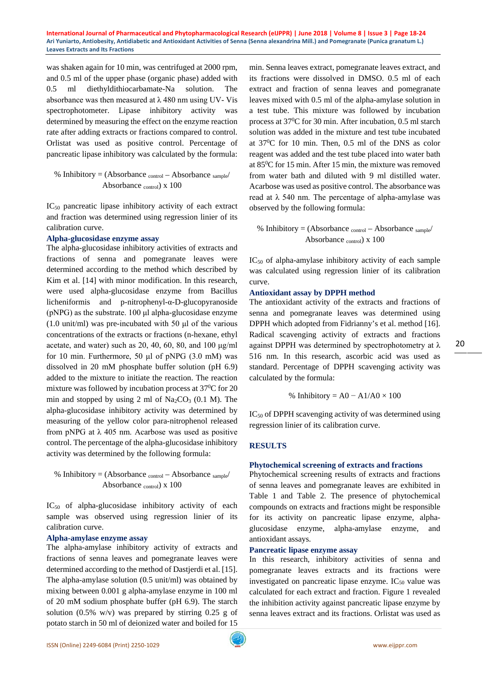was shaken again for 10 min, was centrifuged at 2000 rpm, and 0.5 ml of the upper phase (organic phase) added with 0.5 ml diethyldithiocarbamate-Na solution. The absorbance was then measured at  $\lambda$  480 nm using UV-Vis spectrophotometer. Lipase inhibitory activity was determined by measuring the effect on the enzyme reaction rate after adding extracts or fractions compared to control. Orlistat was used as positive control. Percentage of pancreatic lipase inhibitory was calculated by the formula:

% Inhibitory =  $(Absorbane_{control} - Absorbane_{sample}/$ Absorbance control) x 100

IC50 pancreatic lipase inhibitory activity of each extract and fraction was determined using regression linier of its calibration curve.

#### **Alpha-glucosidase enzyme assay**

The alpha-glucosidase inhibitory activities of extracts and fractions of senna and pomegranate leaves were determined according to the method which described by Kim et al. [14] with minor modification. In this research, were used alpha-glucosidase enzyme from Bacillus licheniformis and p-nitrophenyl-α-D-glucopyranoside (pNPG) as the substrate. 100 μl alpha-glucosidase enzyme (1.0 unit/ml) was pre-incubated with 50 μl of the various concentrations of the extracts or fractions (n-hexane, ethyl acetate, and water) such as 20, 40, 60, 80, and 100 μg/ml for 10 min. Furthermore, 50 μl of pNPG (3.0 mM) was dissolved in 20 mM phosphate buffer solution (pH 6.9) added to the mixture to initiate the reaction. The reaction mixture was followed by incubation process at  $37^0C$  for 20 min and stopped by using 2 ml of  $Na_2CO_3$  (0.1 M). The alpha-glucosidase inhibitory activity was determined by measuring of the yellow color para-nitrophenol released from pNPG at  $\lambda$  405 nm. Acarbose was used as positive control. The percentage of the alpha-glucosidase inhibitory activity was determined by the following formula:

% Inhibitory =  $(Absorbane_{control} - Absorbane_{sample}/$ Absorbance control) x 100

IC<sub>50</sub> of alpha-glucosidase inhibitory activity of each sample was observed using regression linier of its calibration curve.

#### **Alpha-amylase enzyme assay**

The alpha-amylase inhibitory activity of extracts and fractions of senna leaves and pomegranate leaves were determined according to the method of Dastjerdi et al. [15]. The alpha-amylase solution (0.5 unit/ml) was obtained by mixing between 0.001 g alpha-amylase enzyme in 100 ml of 20 mM sodium phosphate buffer (pH 6.9). The starch solution  $(0.5\% \text{ w/v})$  was prepared by stirring 0.25 g of potato starch in 50 ml of deionized water and boiled for 15

min. Senna leaves extract, pomegranate leaves extract, and its fractions were dissolved in DMSO. 0.5 ml of each extract and fraction of senna leaves and pomegranate leaves mixed with 0.5 ml of the alpha-amylase solution in a test tube. This mixture was followed by incubation process at 37<sup>0</sup>C for 30 min. After incubation, 0.5 ml starch solution was added in the mixture and test tube incubated at 370 C for 10 min. Then, 0.5 ml of the DNS as color reagent was added and the test tube placed into water bath at 850 C for 15 min. After 15 min, the mixture was removed from water bath and diluted with 9 ml distilled water. Acarbose was used as positive control. The absorbance was read at  $\lambda$  540 nm. The percentage of alpha-amylase was observed by the following formula:

% Inhibitory = (Absorbance  $_{control}$  – Absorbance  $_{sample}$ / Absorbance control) x 100

IC<sub>50</sub> of alpha-amylase inhibitory activity of each sample was calculated using regression linier of its calibration curve.

#### **Antioxidant assay by DPPH method**

The antioxidant activity of the extracts and fractions of senna and pomegranate leaves was determined using DPPH which adopted from Fidrianny's et al. method [16]. Radical scavenging activity of extracts and fractions against DPPH was determined by spectrophotometry at  $\lambda$ 516 nm. In this research, ascorbic acid was used as standard. Percentage of DPPH scavenging activity was calculated by the formula:

% Inhibitory = 
$$
A0 - A1/A0 \times 100
$$

IC50 of DPPH scavenging activity of was determined using regression linier of its calibration curve.

## **RESULTS**

#### **Phytochemical screening of extracts and fractions**

Phytochemical screening results of extracts and fractions of senna leaves and pomegranate leaves are exhibited in Table 1 and Table 2. The presence of phytochemical compounds on extracts and fractions might be responsible for its activity on pancreatic lipase enzyme, alphaglucosidase enzyme, alpha-amylase enzyme, and antioxidant assays.

## **Pancreatic lipase enzyme assay**

In this research, inhibitory activities of senna and pomegranate leaves extracts and its fractions were investigated on pancreatic lipase enzyme.  $IC_{50}$  value was calculated for each extract and fraction. Figure 1 revealed the inhibition activity against pancreatic lipase enzyme by senna leaves extract and its fractions. Orlistat was used as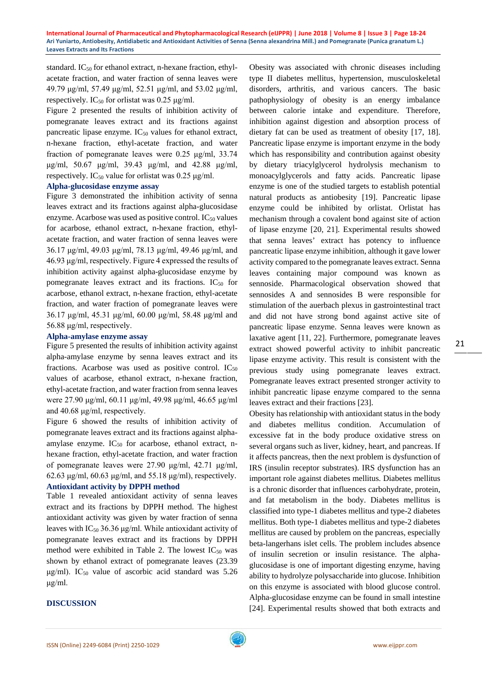standard. IC<sub>50</sub> for ethanol extract, n-hexane fraction, ethylacetate fraction, and water fraction of senna leaves were 49.79 μg/ml, 57.49 μg/ml, 52.51 μg/ml, and 53.02 μg/ml, respectively. IC<sub>50</sub> for orlistat was 0.25  $\mu$ g/ml.

Figure 2 presented the results of inhibition activity of pomegranate leaves extract and its fractions against pancreatic lipase enzyme.  $IC_{50}$  values for ethanol extract, n-hexane fraction, ethyl-acetate fraction, and water fraction of pomegranate leaves were 0.25 μg/ml, 33.74 μg/ml, 50.67 μg/ml, 39.43 μg/ml, and 42.88 μg/ml, respectively. IC<sub>50</sub> value for orlistat was 0.25  $\mu$ g/ml.

## **Alpha-glucosidase enzyme assay**

Figure 3 demonstrated the inhibition activity of senna leaves extract and its fractions against alpha-glucosidase enzyme. Acarbose was used as positive control.  $IC_{50}$  values for acarbose, ethanol extract, n-hexane fraction, ethylacetate fraction, and water fraction of senna leaves were 36.17 μg/ml, 49.03 μg/ml, 78.13 μg/ml, 49.46 μg/ml, and 46.93 μg/ml, respectively. Figure 4 expressed the results of inhibition activity against alpha-glucosidase enzyme by pomegranate leaves extract and its fractions.  $IC_{50}$  for acarbose, ethanol extract, n-hexane fraction, ethyl-acetate fraction, and water fraction of pomegranate leaves were 36.17 μg/ml, 45.31 μg/ml, 60.00 μg/ml, 58.48 μg/ml and 56.88 μg/ml, respectively.

## **Alpha-amylase enzyme assay**

Figure 5 presented the results of inhibition activity against alpha-amylase enzyme by senna leaves extract and its fractions. Acarbose was used as positive control.  $IC_{50}$ values of acarbose, ethanol extract, n-hexane fraction, ethyl-acetate fraction, and water fraction from senna leaves were 27.90 μg/ml, 60.11 μg/ml, 49.98 μg/ml, 46.65 μg/ml and 40.68 μg/ml, respectively.

Figure 6 showed the results of inhibition activity of pomegranate leaves extract and its fractions against alphaamylase enzyme.  $IC_{50}$  for acarbose, ethanol extract, nhexane fraction, ethyl-acetate fraction, and water fraction of pomegranate leaves were 27.90 μg/ml, 42.71 μg/ml, 62.63 μg/ml, 60.63 μg/ml, and 55.18 μg/ml), respectively.

## **Antioxidant activity by DPPH method**

Table 1 revealed antioxidant activity of senna leaves extract and its fractions by DPPH method. The highest antioxidant activity was given by water fraction of senna leaves with  $IC_{50}$  36.36  $\mu$ g/ml. While antioxidant activity of pomegranate leaves extract and its fractions by DPPH method were exhibited in Table 2. The lowest  $IC_{50}$  was shown by ethanol extract of pomegranate leaves (23.39  $\mu$ g/ml). IC<sub>50</sub> value of ascorbic acid standard was 5.26 μg/ml.

## **DISCUSSION**

Obesity was associated with chronic diseases including type II diabetes mellitus, hypertension, musculoskeletal disorders, arthritis, and various cancers. The basic pathophysiology of obesity is an energy imbalance between calorie intake and expenditure. Therefore, inhibition against digestion and absorption process of dietary fat can be used as treatment of obesity [17, 18]. Pancreatic lipase enzyme is important enzyme in the body which has responsibility and contribution against obesity by dietary triacylglycerol hydrolysis mechanism to monoacylglycerols and fatty acids. Pancreatic lipase enzyme is one of the studied targets to establish potential natural products as antiobesity [19]. Pancreatic lipase enzyme could be inhibited by orlistat. Orlistat has mechanism through a covalent bond against site of action of lipase enzyme [20, 21]. Experimental results showed that senna leaves' extract has potency to influence pancreatic lipase enzyme inhibition, although it gave lower activity compared to the pomegranate leaves extract. Senna leaves containing major compound was known as sennoside. Pharmacological observation showed that sennosides A and sennosides B were responsible for stimulation of the auerbach plexus in gastrointestinal tract and did not have strong bond against active site of pancreatic lipase enzyme. Senna leaves were known as laxative agent [11, 22]. Furthermore, pomegranate leaves extract showed powerful activity to inhibit pancreatic lipase enzyme activity. This result is consistent with the previous study using pomegranate leaves extract. Pomegranate leaves extract presented stronger activity to inhibit pancreatic lipase enzyme compared to the senna leaves extract and their fractions [23].

Obesity has relationship with antioxidant status in the body and diabetes mellitus condition. Accumulation of excessive fat in the body produce oxidative stress on several organs such as liver, kidney, heart, and pancreas. If it affects pancreas, then the next problem is dysfunction of IRS (insulin receptor substrates). IRS dysfunction has an important role against diabetes mellitus. Diabetes mellitus is a chronic disorder that influences carbohydrate, protein, and fat metabolism in the body. Diabetes mellitus is classified into type-1 diabetes mellitus and type-2 diabetes mellitus. Both type-1 diabetes mellitus and type-2 diabetes mellitus are caused by problem on the pancreas, especially beta-langerhans islet cells. The problem includes absence of insulin secretion or insulin resistance. The alphaglucosidase is one of important digesting enzyme, having ability to hydrolyze polysaccharide into glucose. Inhibition on this enzyme is associated with blood glucose control. Alpha-glucosidase enzyme can be found in small intestine [24]. Experimental results showed that both extracts and

21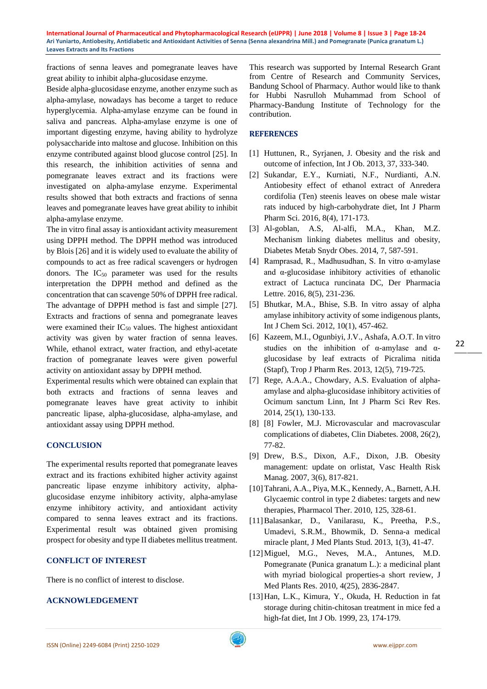fractions of senna leaves and pomegranate leaves have great ability to inhibit alpha-glucosidase enzyme.

Beside alpha-glucosidase enzyme, another enzyme such as alpha-amylase, nowadays has become a target to reduce hyperglycemia. Alpha-amylase enzyme can be found in saliva and pancreas. Alpha-amylase enzyme is one of important digesting enzyme, having ability to hydrolyze polysaccharide into maltose and glucose. Inhibition on this enzyme contributed against blood glucose control [25]. In this research, the inhibition activities of senna and pomegranate leaves extract and its fractions were investigated on alpha-amylase enzyme. Experimental results showed that both extracts and fractions of senna leaves and pomegranate leaves have great ability to inhibit alpha-amylase enzyme.

The in vitro final assay is antioxidant activity measurement using DPPH method. The DPPH method was introduced by Blois [26] and it is widely used to evaluate the ability of compounds to act as free radical scavengers or hydrogen donors. The  $IC_{50}$  parameter was used for the results interpretation the DPPH method and defined as the concentration that can scavenge 50% of DPPH free radical. The advantage of DPPH method is fast and simple [27]. Extracts and fractions of senna and pomegranate leaves were examined their  $IC_{50}$  values. The highest antioxidant activity was given by water fraction of senna leaves. While, ethanol extract, water fraction, and ethyl-acetate fraction of pomegranate leaves were given powerful activity on antioxidant assay by DPPH method.

Experimental results which were obtained can explain that both extracts and fractions of senna leaves and pomegranate leaves have great activity to inhibit pancreatic lipase, alpha-glucosidase, alpha-amylase, and antioxidant assay using DPPH method.

## **CONCLUSION**

The experimental results reported that pomegranate leaves extract and its fractions exhibited higher activity against pancreatic lipase enzyme inhibitory activity, alphaglucosidase enzyme inhibitory activity, alpha-amylase enzyme inhibitory activity, and antioxidant activity compared to senna leaves extract and its fractions. Experimental result was obtained given promising prospect for obesity and type II diabetes mellitus treatment.

## **CONFLICT OF INTEREST**

There is no conflict of interest to disclose.

#### **ACKNOWLEDGEMENT**

This research was supported by Internal Research Grant from Centre of Research and Community Services, Bandung School of Pharmacy. Author would like to thank for Hubbi Nasrulloh Muhammad from School of Pharmacy-Bandung Institute of Technology for the contribution.

#### **REFERENCES**

- [1] Huttunen, R., Syrjanen, J. Obesity and the risk and outcome of infection, Int J Ob. 2013, 37, 333-340.
- [2] Sukandar, E.Y., Kurniati, N.F., Nurdianti, A.N. Antiobesity effect of ethanol extract of Anredera cordifolia (Ten) steenis leaves on obese male wistar rats induced by high-carbohydrate diet, Int J Pharm Pharm Sci. 2016, 8(4), 171-173.
- [3] Al-goblan, A.S, Al-alfi, M.A., Khan, M.Z. Mechanism linking diabetes mellitus and obesity, Diabetes Metab Snydr Obes. 2014, 7, 587-591.
- [4] Ramprasad, R., Madhusudhan, S. In vitro  $\alpha$ -amylase and α-glucosidase inhibitory activities of ethanolic extract of Lactuca runcinata DC, Der Pharmacia Lettre. 2016, 8(5), 231-236.
- [5] Bhutkar, M.A., Bhise, S.B. In vitro assay of alpha amylase inhibitory activity of some indigenous plants, Int J Chem Sci. 2012, 10(1), 457-462.
- [6] Kazeem, M.I., Ogunbiyi, J.V., Ashafa, A.O.T. In vitro studies on the inhibition of α-amylase and αglucosidase by leaf extracts of Picralima nitida (Stapf), Trop J Pharm Res. 2013, 12(5), 719-725.
- [7] Rege, A.A.A., Chowdary, A.S. Evaluation of alphaamylase and alpha-glucosidase inhibitory activities of Ocimum sanctum Linn, Int J Pharm Sci Rev Res. 2014, 25(1), 130-133.
- [8] [8] Fowler, M.J. Microvascular and macrovascular complications of diabetes, Clin Diabetes. 2008, 26(2), 77-82.
- [9] Drew, B.S., Dixon, A.F., Dixon, J.B. Obesity management: update on orlistat, Vasc Health Risk Manag. 2007, 3(6), 817-821.
- [10]Tahrani, A.A., Piya, M.K., Kennedy, A., Barnett, A.H. Glycaemic control in type 2 diabetes: targets and new therapies, Pharmacol Ther. 2010, 125, 328-61.
- [11]Balasankar, D., Vanilarasu, K., Preetha, P.S., Umadevi, S.R.M., Bhowmik, D. Senna-a medical miracle plant, J Med Plants Stud. 2013, 1(3), 41-47.
- [12]Miguel, M.G., Neves, M.A., Antunes, M.D. Pomegranate (Punica granatum L.): a medicinal plant with myriad biological properties-a short review, J Med Plants Res. 2010, 4(25), 2836-2847.
- [13]Han, L.K., Kimura, Y., Okuda, H. Reduction in fat storage during chitin-chitosan treatment in mice fed a high-fat diet, Int J Ob. 1999, 23, 174-179.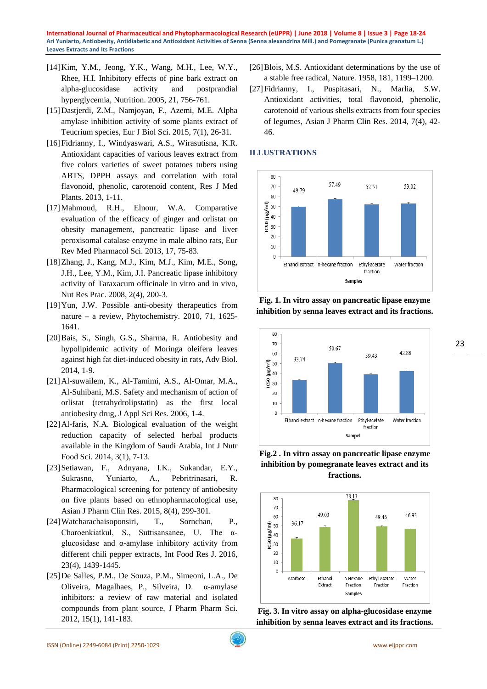- [14]Kim, Y.M., Jeong, Y.K., Wang, M.H., Lee, W.Y., Rhee, H.I. Inhibitory effects of pine bark extract on alpha-glucosidase activity and postprandial hyperglycemia, Nutrition. 2005, 21, 756-761.
- [15]Dastjerdi, Z.M., Namjoyan, F., Azemi, M.E. Alpha amylase inhibition activity of some plants extract of Teucrium species, Eur J Biol Sci. 2015, 7(1), 26-31.
- [16]Fidrianny, I., Windyaswari, A.S., Wirasutisna, K.R. Antioxidant capacities of various leaves extract from five colors varieties of sweet potatoes tubers using ABTS, DPPH assays and correlation with total flavonoid, phenolic, carotenoid content, Res J Med Plants. 2013, 1-11.
- [17]Mahmoud, R.H., Elnour, W.A. Comparative evaluation of the efficacy of ginger and orlistat on obesity management, pancreatic lipase and liver peroxisomal catalase enzyme in male albino rats, Eur Rev Med Pharmacol Sci. 2013, 17, 75-83.
- [18]Zhang, J., Kang, M.J., Kim, M.J., Kim, M.E., Song, J.H., Lee, Y.M., Kim, J.I. Pancreatic lipase inhibitory activity of Taraxacum officinale in vitro and in vivo, Nut Res Prac. 2008, 2(4), 200-3.
- [19]Yun, J.W. Possible anti-obesity therapeutics from nature – a review, Phytochemistry. 2010, 71, 1625- 1641.
- [20]Bais, S., Singh, G.S., Sharma, R. Antiobesity and hypolipidemic activity of Moringa oleifera leaves against high fat diet-induced obesity in rats, Adv Biol. 2014, 1-9.
- [21]Al-suwailem, K., Al-Tamimi, A.S., Al-Omar, M.A., Al-Suhibani, M.S. Safety and mechanism of action of orlistat (tetrahydrolipstatin) as the first local antiobesity drug, J Appl Sci Res. 2006, 1-4.
- [22]Al-faris, N.A. Biological evaluation of the weight reduction capacity of selected herbal products available in the Kingdom of Saudi Arabia, Int J Nutr Food Sci. 2014, 3(1), 7-13.
- [23]Setiawan, F., Adnyana, I.K., Sukandar, E.Y., Sukrasno, Yuniarto, A., Pebritrinasari, R. Pharmacological screening for potency of antiobesity on five plants based on ethnopharmacological use, Asian J Pharm Clin Res. 2015, 8(4), 299-301.
- [24]Watcharachaisoponsiri, T., Sornchan, P., Charoenkiatkul, S., Suttisansanee, U. The αglucosidase and α-amylase inhibitory activity from different chili pepper extracts, Int Food Res J. 2016, 23(4), 1439-1445.
- [25]De Salles, P.M., De Souza, P.M., Simeoni, L.A., De Oliveira, Magalhaes, P., Silveira, D. α-amylase inhibitors: a review of raw material and isolated compounds from plant source, J Pharm Pharm Sci. 2012, 15(1), 141-183.
- [26] Blois, M.S. Antioxidant determinations by the use of a stable free radical, Nature. 1958, 181, 1199–1200.
- [27]Fidrianny, I., Puspitasari, N., Marlia, S.W. Antioxidant activities, total flavonoid, phenolic, carotenoid of various shells extracts from four species of legumes, Asian J Pharm Clin Res. 2014, 7(4), 42- 46.

## **ILLUSTRATIONS**



**Fig. 1. In vitro assay on pancreatic lipase enzyme inhibition by senna leaves extract and its fractions.**



**Fig.2 . In vitro assay on pancreatic lipase enzyme inhibition by pomegranate leaves extract and its fractions.**



**Fig. 3. In vitro assay on alpha-glucosidase enzyme inhibition by senna leaves extract and its fractions.**